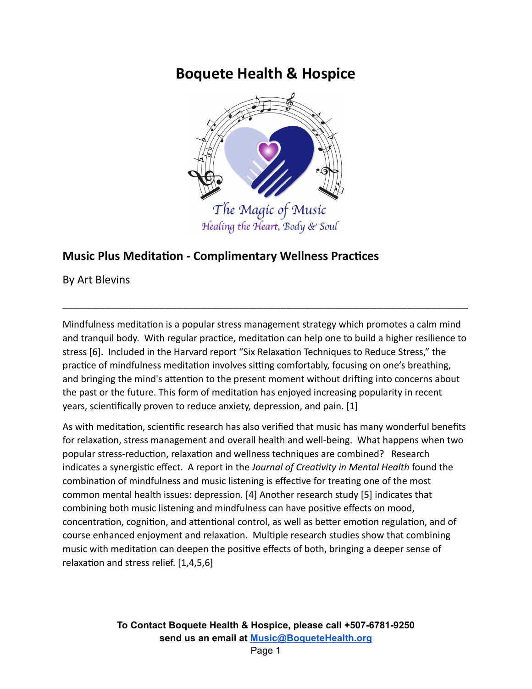# **Boquete Health & Hospice**



# **Music Plus Meditation - Complimentary Wellness Practices**

By Art Blevins

Mindfulness meditation is a popular stress management strategy which promotes a calm mind and tranquil body. With regular practice, meditation can help one to build a higher resilience to stress [6]. Included in the Harvard report "Six Relaxation Techniques to Reduce Stress," the practice of mindfulness meditation involves sitting comfortably, focusing on one's breathing, and bringing the mind's attention to the present moment without drifting into concerns about the past or the future. This form of meditation has enjoyed increasing popularity in recent years, scientifically proven to reduce anxiety, depression, and pain. [1]

\_\_\_\_\_\_\_\_\_\_\_\_\_\_\_\_\_\_\_\_\_\_\_\_\_\_\_\_\_\_\_\_\_\_\_\_\_\_\_\_\_\_\_\_\_\_\_\_\_\_\_\_\_\_\_\_\_\_\_\_\_\_\_\_\_\_\_

As with meditation, scientific research has also verified that music has many wonderful benefits for relaxation, stress management and overall health and well-being. What happens when two popular stress-reduction, relaxation and wellness techniques are combined? Research indicates a synergistic effect. A report in the *Journal of Creativity in Mental Health* found the combination of mindfulness and music listening is effective for treating one of the most common mental health issues: depression. [4] Another research study [5] indicates that combining both music listening and mindfulness can have positive effects on mood, concentration, cognition, and attentional control, as well as better emotion regulation, and of course enhanced enjoyment and relaxation. Multiple research studies show that combining music with meditation can deepen the positive effects of both, bringing a deeper sense of relaxation and stress relief.  $[1,4,5,6]$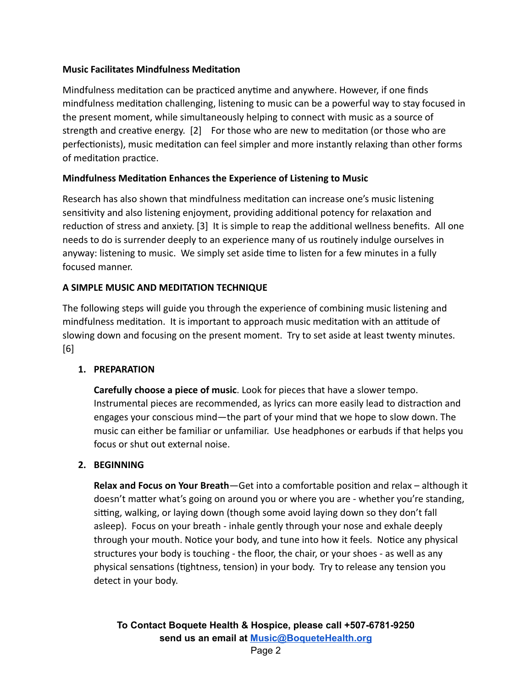#### **Music Facilitates Mindfulness Meditation**

Mindfulness meditation can be practiced anytime and anywhere. However, if one finds mindfulness meditation challenging, listening to music can be a powerful way to stay focused in the present moment, while simultaneously helping to connect with music as a source of strength and creative energy. [2] For those who are new to meditation (or those who are perfectionists), music meditation can feel simpler and more instantly relaxing than other forms of meditation practice.

# **Mindfulness Meditation Enhances the Experience of Listening to Music**

Research has also shown that mindfulness meditation can increase one's music listening sensitivity and also listening enjoyment, providing additional potency for relaxation and reduction of stress and anxiety. [3] It is simple to reap the additional wellness benefits. All one needs to do is surrender deeply to an experience many of us routinely indulge ourselves in anyway: listening to music. We simply set aside time to listen for a few minutes in a fully focused manner.

# **A SIMPLE MUSIC AND MEDITATION TECHNIQUE**

The following steps will guide you through the experience of combining music listening and mindfulness meditation. It is important to approach music meditation with an attitude of slowing down and focusing on the present moment. Try to set aside at least twenty minutes. [6]

#### **1. PREPARATION**

**Carefully choose a piece of music**. Look for pieces that have a slower tempo. Instrumental pieces are recommended, as lyrics can more easily lead to distraction and engages your conscious mind—the part of your mind that we hope to slow down. The music can either be familiar or unfamiliar. Use headphones or earbuds if that helps you focus or shut out external noise.

#### **2. BEGINNING**

**Relax and Focus on Your Breath**—Get into a comfortable position and relax – although it doesn't matter what's going on around you or where you are - whether you're standing, sitting, walking, or laying down (though some avoid laying down so they don't fall asleep). Focus on your breath - inhale gently through your nose and exhale deeply through your mouth. Notice your body, and tune into how it feels. Notice any physical structures your body is touching - the floor, the chair, or your shoes - as well as any physical sensations (tightness, tension) in your body. Try to release any tension you detect in your body.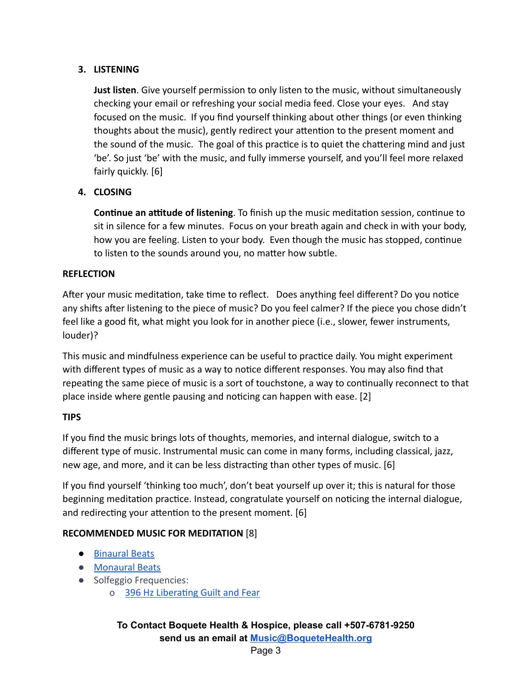# **3. LISTENING**

**Just listen**. Give yourself permission to only listen to the music, without simultaneously checking your email or refreshing your social media feed. Close your eyes. And stay focused on the music. If you find yourself thinking about other things (or even thinking thoughts about the music), gently redirect your attention to the present moment and the sound of the music. The goal of this practice is to quiet the chattering mind and just 'be'. So just 'be' with the music, and fully immerse yourself, and you'll feel more relaxed fairly quickly. [6]

# **4. CLOSING**

**Continue an attitude of listening**. To finish up the music meditation session, continue to sit in silence for a few minutes. Focus on your breath again and check in with your body, how you are feeling. Listen to your body. Even though the music has stopped, continue to listen to the sounds around you, no matter how subtle.

#### **REFLECTION**

After your music meditation, take time to reflect. Does anything feel different? Do you notice any shifts after listening to the piece of music? Do you feel calmer? If the piece you chose didn't feel like a good fit, what might you look for in another piece (i.e., slower, fewer instruments, louder)?

This music and mindfulness experience can be useful to practice daily. You might experiment with different types of music as a way to notice different responses. You may also find that repeating the same piece of music is a sort of touchstone, a way to continually reconnect to that place inside where gentle pausing and noticing can happen with ease. [2]

#### **TIPS**

If you find the music brings lots of thoughts, memories, and internal dialogue, switch to a different type of music. Instrumental music can come in many forms, including classical, jazz, new age, and more, and it can be less distracting than other types of music. [6]

If you find yourself 'thinking too much', don't beat yourself up over it; this is natural for those beginning meditation practice. Instead, congratulate yourself on noticing the internal dialogue, and redirecting your attention to the present moment. [6]

#### **RECOMMENDED MUSIC FOR MEDITATION** [8]

- [Binaural Beats](https://www.youtube.com/watch?v=GXeAOtb1VeA&t=20s)
- [Monaural Beats](https://www.youtube.com/watch?v=6bZ13XsIC3I)
- Solfeggio Frequencies:
	- o 396 Hz Liberating Guilt and Fear

# **To Contact Boquete Health & Hospice, please call +507-6781-9250 send us an email at [Music@BoqueteHealth.org](mailto:Music@boquetehospice.org)**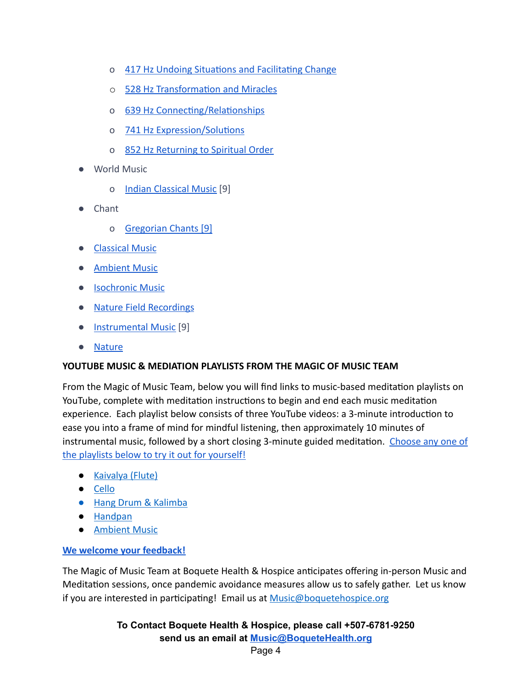- o 417 Hz Undoing Situations and Facilitating Change
- o 528 Hz Transformation and Miracles
- o 639 Hz Connecting/Relationships
- o 741 Hz Expression/Solutions
- o [852 Hz Returning to Spiritual Order](https://www.youtube.com/watch?v=RDCKZk-KsI4)
- World Music
	- o [Indian Classical Music](https://www.youtube.com/watch?v=D6B4xo6zYdk) [9]
- Chant
	- o [Gregorian Chants \[9\]](https://www.youtube.com/watch?v=0fClOHyj2fg)
- [Classical Music](https://www.youtube.com/watch?v=AlZi6LYfAs0)
- [Ambient Music](https://www.youtube.com/watch?v=DVHaSmW9QNA)
- [Isochronic Music](https://www.youtube.com/watch?v=g7EHidYj9BQ)
- [Nature Field Recordings](https://www.youtube.com/watch?v=eU-ZDMhokD8)
- [Instrumental Music](https://www.youtube.com/watch?v=pxEj6m_7Qfk) [9]
- [Nature](https://www.youtube.com/watch?v=lE6RYpe9IT0)

#### **YOUTUBE MUSIC & MEDIATION PLAYLISTS FROM THE MAGIC OF MUSIC TEAM**

From the Magic of Music Team, below you will find links to music-based meditation playlists on YouTube, complete with meditation instructions to begin and end each music meditation experience. Each playlist below consists of three YouTube videos: a 3-minute introduction to ease you into a frame of mind for mindful listening, then approximately 10 minutes of instrumental music, followed by a short closing 3-minute guided meditation. [Choose any one of](https://boquetehealth.org/music%2Fguided-meditation) [the playlists below to try it out for yourself!](https://boquetehealth.org/music%2Fguided-meditation)

- [Kaivalya \(Flute\)](https://www.youtube.com/playlist?list=PLRlzVtjY-Q7ppkQ2R_ttvzYTKW4A2CtM3)
- [Cello](https://www.youtube.com/playlist?list=PLRlzVtjY-Q7o-U76eT3hSLqV-LN32XOBi)
- [Hang Drum & Kalimba](https://www.youtube.com/playlist?list=PLRlzVtjY-Q7poEZ74MJYwTxhbYFwXCMJ4)
- [Handpan](https://www.youtube.com/playlist?list=PLRlzVtjY-Q7rmAHPwzY1l0ekoNBfKh14k)
- [Ambient Music](https://www.youtube.com/playlist?list=PLRlzVtjY-Q7r1Tl1ioNee-0BVJasLDk7A)

#### **[We welcome your feedback!](mailto:Music@Boquetehospice.org)**

The Magic of Music Team at Boquete Health & Hospice anticipates offering in-person Music and Meditation sessions, once pandemic avoidance measures allow us to safely gather. Let us know if you are interested in participating! Email us at [Music@boquetehospice.org](mailto:Music@boquetehospice.org)

> **To Contact Boquete Health & Hospice, please call +507-6781-9250 send us an email at [Music@BoqueteHealth.org](mailto:Music@boquetehospice.org)**